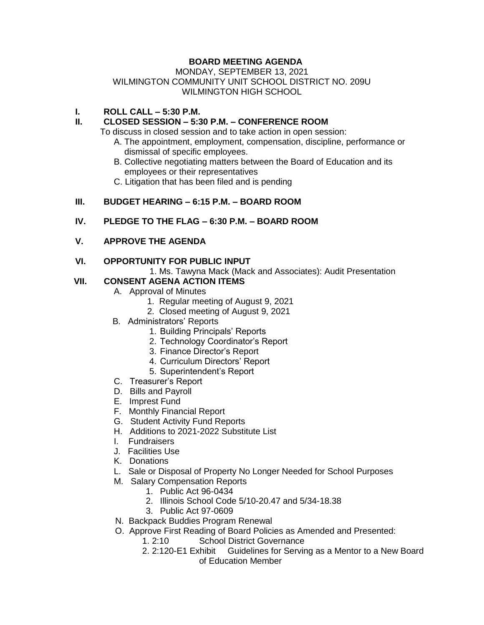# **BOARD MEETING AGENDA**

### MONDAY, SEPTEMBER 13, 2021 WILMINGTON COMMUNITY UNIT SCHOOL DISTRICT NO. 209U WILMINGTON HIGH SCHOOL

### **I. ROLL CALL – 5:30 P.M.**

### **II. CLOSED SESSION – 5:30 P.M. – CONFERENCE ROOM**

To discuss in closed session and to take action in open session:

- A. The appointment, employment, compensation, discipline, performance or dismissal of specific employees.
- B. Collective negotiating matters between the Board of Education and its employees or their representatives
- C. Litigation that has been filed and is pending

## **III. BUDGET HEARING – 6:15 P.M. – BOARD ROOM**

### **IV. PLEDGE TO THE FLAG – 6:30 P.M. – BOARD ROOM**

**V. APPROVE THE AGENDA**

### **VI. OPPORTUNITY FOR PUBLIC INPUT**

1. Ms. Tawyna Mack (Mack and Associates): Audit Presentation

## **VII. CONSENT AGENA ACTION ITEMS**

- A. Approval of Minutes
	- 1. Regular meeting of August 9, 2021
	- 2. Closed meeting of August 9, 2021
- B. Administrators' Reports
	- 1. Building Principals' Reports
	- 2. Technology Coordinator's Report
	- 3. Finance Director's Report
	- 4. Curriculum Directors' Report
	- 5. Superintendent's Report
- C. Treasurer's Report
- D. Bills and Payroll
- E. Imprest Fund
- F. Monthly Financial Report
- G. Student Activity Fund Reports
- H. Additions to 2021-2022 Substitute List
- I. Fundraisers
- J. Facilities Use
- K. Donations
- L. Sale or Disposal of Property No Longer Needed for School Purposes
- M. Salary Compensation Reports
	- 1. Public Act 96-0434
	- 2. Illinois School Code 5/10-20.47 and 5/34-18.38
	- 3. Public Act 97-0609
- N. Backpack Buddies Program Renewal
- O. Approve First Reading of Board Policies as Amended and Presented:
	- 1. 2:10 School District Governance
	- 2. 2:120-E1 Exhibit Guidelines for Serving as a Mentor to a New Board of Education Member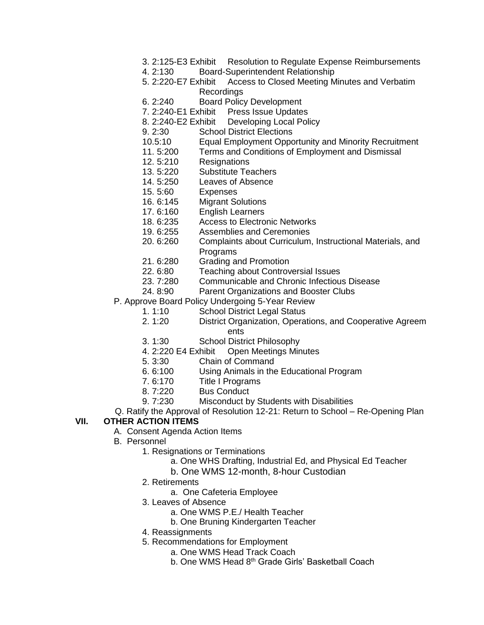- 3. 2:125-E3 Exhibit Resolution to Regulate Expense Reimbursements
- 4. 2:130 Board-Superintendent Relationship
- 5. 2:220-E7 Exhibit Access to Closed Meeting Minutes and Verbatim Recordings
- 6. 2:240 Board Policy Development
- 7. 2:240-E1 Exhibit Press Issue Updates
- 8. 2:240-E2 Exhibit Developing Local Policy
- 9. 2:30 School District Elections
- 10.5:10 Equal Employment Opportunity and Minority Recruitment
- 11. 5:200 Terms and Conditions of Employment and Dismissal
- 12. 5:210 Resignations
- 13. 5:220 Substitute Teachers
- 14. 5:250 Leaves of Absence
- 15. 5:60 Expenses
- 16. 6:145 Migrant Solutions
- 17. 6:160 English Learners
- 18. 6:235 Access to Electronic Networks
- 19. 6:255 Assemblies and Ceremonies
- 20. 6:260 Complaints about Curriculum, Instructional Materials, and Programs
- 21. 6:280 Grading and Promotion
- 22. 6:80 Teaching about Controversial Issues
- 23. 7:280 Communicable and Chronic Infectious Disease
- 24. 8:90 Parent Organizations and Booster Clubs
- P. Approve Board Policy Undergoing 5-Year Review
	- 1. 1:10 School District Legal Status
	- 2. 1:20 District Organization, Operations, and Cooperative Agreem ents
	- 3. 1:30 School District Philosophy
	- 4. 2:220 E4 Exhibit Open Meetings Minutes
	- 5. 3:30 Chain of Command
	- 6. 6:100 Using Animals in the Educational Program
	- 7. 6:170 Title I Programs
	- 8. 7:220 Bus Conduct
	- 9. 7:230 Misconduct by Students with Disabilities
- Q. Ratify the Approval of Resolution 12-21: Return to School Re-Opening Plan

#### **VII. OTHER ACTION ITEMS**

- A. Consent Agenda Action Items
- B. Personnel
	- 1. Resignations or Terminations
		- a. One WHS Drafting, Industrial Ed, and Physical Ed Teacher
		- b. One WMS 12-month, 8-hour Custodian
	- 2. Retirements
		- a. One Cafeteria Employee
	- 3. Leaves of Absence
		- a. One WMS P.E./ Health Teacher
		- b. One Bruning Kindergarten Teacher
	- 4. Reassignments
	- 5. Recommendations for Employment
		- a. One WMS Head Track Coach
		- b. One WMS Head 8<sup>th</sup> Grade Girls' Basketball Coach